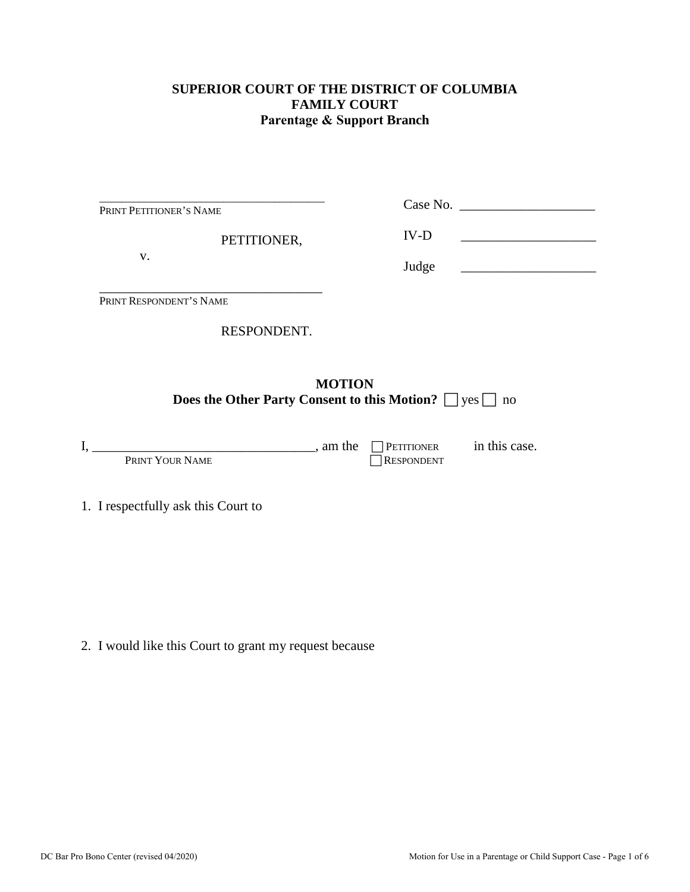### **SUPERIOR COURT OF THE DISTRICT OF COLUMBIA FAMILY COURT Parentage & Support Branch**

| V.                                                                                        |          | Judge                           |               |  |
|-------------------------------------------------------------------------------------------|----------|---------------------------------|---------------|--|
| PRINT RESPONDENT'S NAME                                                                   |          |                                 |               |  |
| RESPONDENT.                                                                               |          |                                 |               |  |
| <b>MOTION</b><br><b>Does the Other Party Consent to this Motion?</b> $\Box$ yes $\Box$ no |          |                                 |               |  |
| PRINT YOUR NAME                                                                           | , am the | PETITIONER<br><b>RESPONDENT</b> | in this case. |  |
| 1. I respectfully ask this Court to                                                       |          |                                 |               |  |

2. I would like this Court to grant my request because

\_\_\_\_\_\_\_\_\_\_\_\_\_\_\_\_\_\_\_\_\_\_\_\_\_\_\_\_\_\_\_\_\_\_\_\_\_\_\_\_

PETITIONER,

PRINT PETITIONER'S NAME

Case No. \_\_\_\_\_\_\_\_\_\_\_\_\_\_\_\_\_\_\_\_

 $IV-D$   $\qquad \qquad$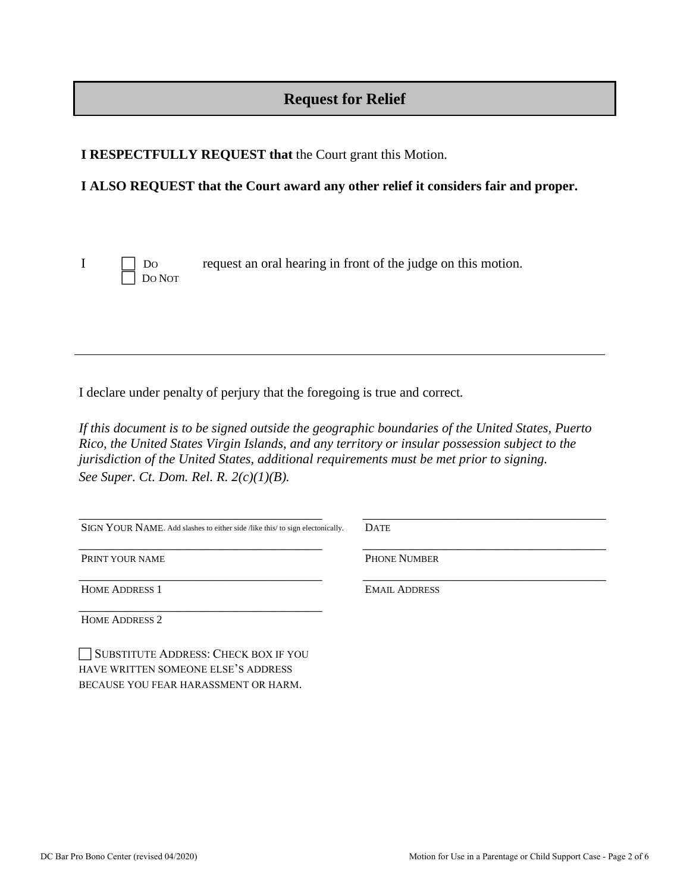# **Request for Relief**

**I RESPECTFULLY REQUEST that** the Court grant this Motion.

### **I ALSO REQUEST that the Court award any other relief it considers fair and proper.**

DO NOT

I DO request an oral hearing in front of the judge on this motion.

I declare under penalty of perjury that the foregoing is true and correct*.* 

*If this document is to be signed outside the geographic boundaries of the United States, Puerto Rico, the United States Virgin Islands, and any territory or insular possession subject to the jurisdiction of the United States, additional requirements must be met prior to signing. See Super. Ct. Dom. Rel. R. 2(c)(1)(B).*

| SIGN YOUR NAME. Add slashes to either side /like this/ to sign electonically. | <b>DATE</b>          |
|-------------------------------------------------------------------------------|----------------------|
| PRINT YOUR NAME                                                               | <b>PHONE NUMBER</b>  |
| <b>HOME ADDRESS 1</b>                                                         | <b>EMAIL ADDRESS</b> |
| <b>HOME ADDRESS 2</b>                                                         |                      |

SUBSTITUTE ADDRESS: CHECK BOX IF YOU HAVE WRITTEN SOMEONE ELSE'S ADDRESS BECAUSE YOU FEAR HARASSMENT OR HARM.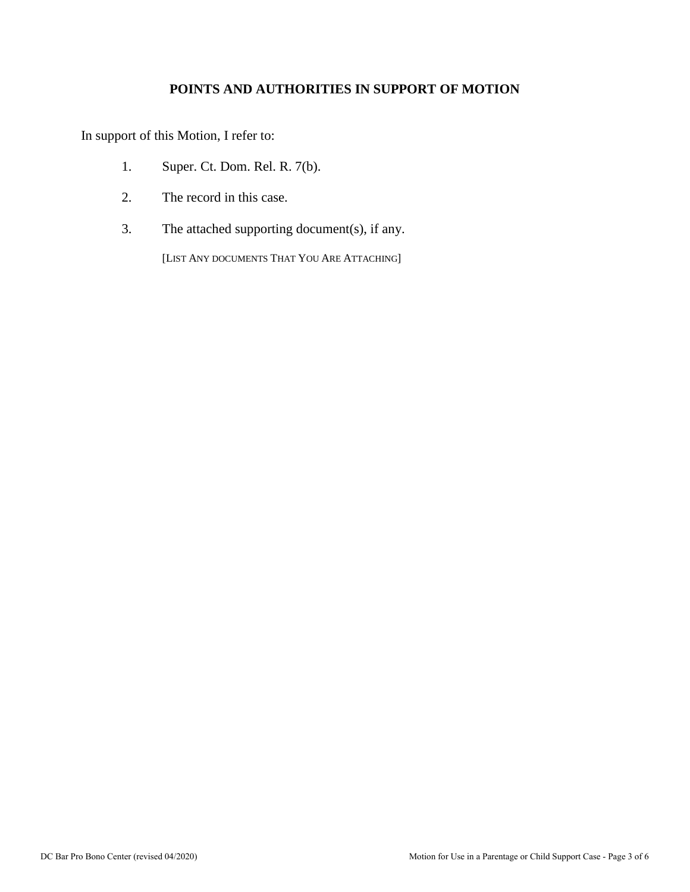## **POINTS AND AUTHORITIES IN SUPPORT OF MOTION**

In support of this Motion, I refer to:

- 1. Super. Ct. Dom. Rel. R. 7(b).
- 2. The record in this case.
- 3. The attached supporting document(s), if any.

[LIST ANY DOCUMENTS THAT YOU ARE ATTACHING]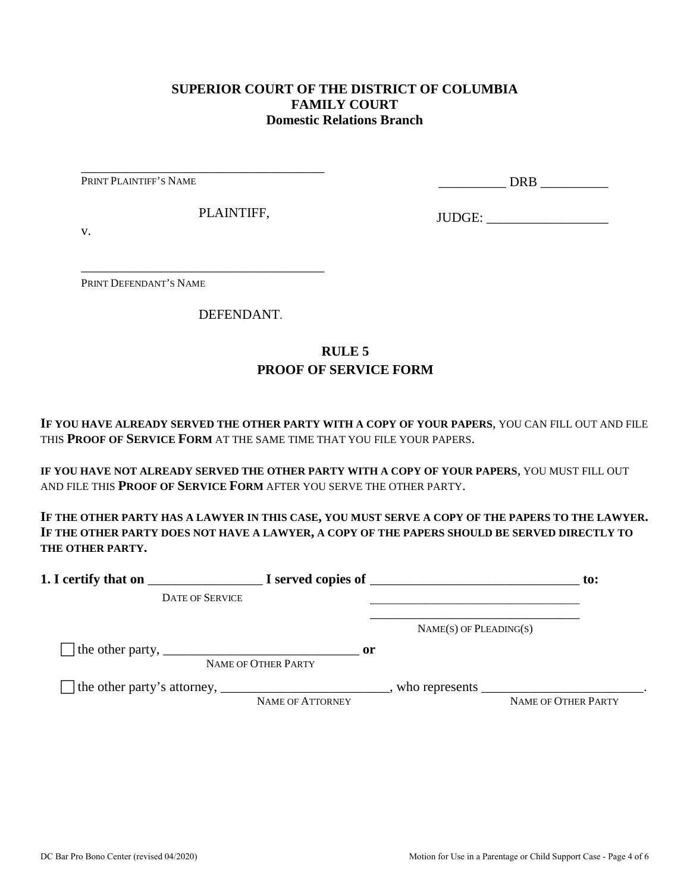#### **SUPERIOR COURT OF THE DISTRICT OF COLUMBIA FAMILY COURT Domestic Relations Branch**

PRINT PLAINTIFF'S NAME

\_\_\_\_\_\_\_\_\_\_ DRB \_\_\_\_\_\_\_\_\_\_

PLAINTIFF,

\_\_\_\_\_\_\_\_\_\_\_\_\_\_\_\_\_\_\_\_\_\_\_\_\_\_\_\_\_\_\_\_\_\_\_\_

\_\_\_\_\_\_\_\_\_\_\_\_\_\_\_\_\_\_\_\_\_\_\_\_\_\_\_\_\_\_\_\_\_\_\_\_

JUDGE: \_\_\_\_\_\_\_\_\_\_\_\_\_\_\_\_\_\_

v.

PRINT DEFENDANT'S NAME

DEFENDANT.

## **RULE 5 PROOF OF SERVICE FORM**

**IF YOU HAVE ALREADY SERVED THE OTHER PARTY WITH A COPY OF YOUR PAPERS**, YOU CAN FILL OUT AND FILE THIS **PROOF OF SERVICE FORM** AT THE SAME TIME THAT YOU FILE YOUR PAPERS.

**IF YOU HAVE NOT ALREADY SERVED THE OTHER PARTY WITH A COPY OF YOUR PAPERS**, YOU MUST FILL OUT AND FILE THIS **PROOF OF SERVICE FORM** AFTER YOU SERVE THE OTHER PARTY.

**IF THE OTHER PARTY HAS A LAWYER IN THIS CASE, YOU MUST SERVE A COPY OF THE PAPERS TO THE LAWYER. IF THE OTHER PARTY DOES NOT HAVE A LAWYER, A COPY OF THE PAPERS SHOULD BE SERVED DIRECTLY TO THE OTHER PARTY.** 

| 1. I certify that on                                                                                      |                                      | $\blacksquare$ $\blacksquare$ I served copies of $\blacksquare$ | $\mathbf{to}$ :     |
|-----------------------------------------------------------------------------------------------------------|--------------------------------------|-----------------------------------------------------------------|---------------------|
| <b>DATE OF SERVICE</b>                                                                                    |                                      |                                                                 |                     |
|                                                                                                           |                                      | $NAME(S)$ OF PLEADING(S)                                        |                     |
| The other party, $\frac{1}{\sqrt{1-\frac{1}{2}}}\left\lfloor \frac{1}{2}\right\rfloor$                    | $\mathbf{or}$<br>NAME OF OTHER PARTY |                                                                 |                     |
| The other party's attorney, _______________________________, who represents ____________________________. | NAME OF ATTORNEY                     |                                                                 | NAME OF OTHER PARTY |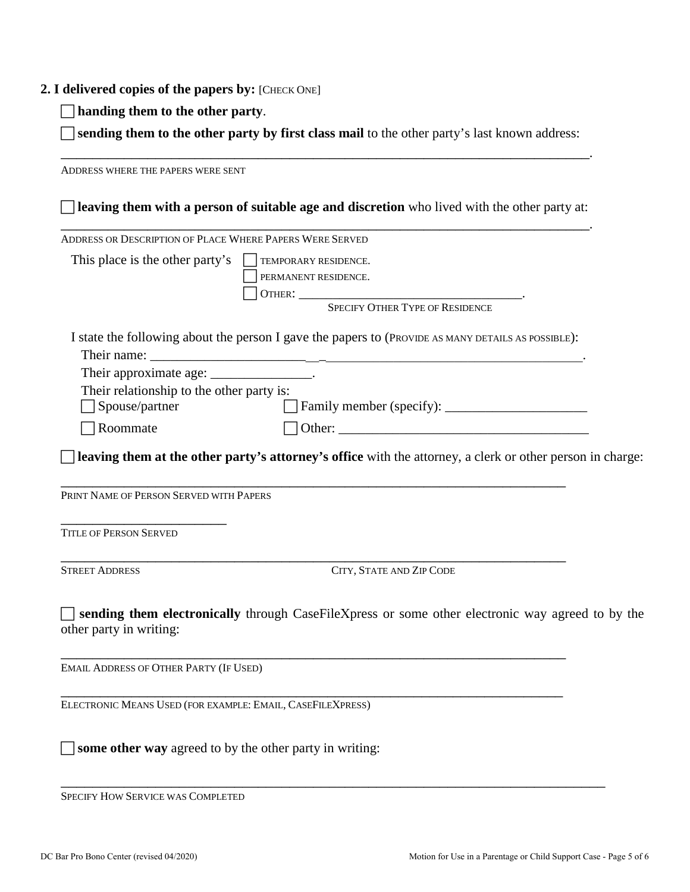#### **2. I delivered copies of the papers by:** [CHECK ONE]

**handing them to the other party**.

 **sending them to the other party by first class mail** to the other party's last known address: \_\_\_\_\_\_\_\_\_\_\_\_\_\_\_\_\_\_\_\_\_\_\_\_\_\_\_\_\_\_\_\_\_\_\_\_\_\_\_\_\_\_\_\_\_\_\_\_\_\_\_\_\_\_\_\_\_\_\_\_\_\_\_\_\_\_\_.

ADDRESS WHERE THE PAPERS WERE SENT **leaving them with a person of suitable age and discretion** who lived with the other party at: \_\_\_\_\_\_\_\_\_\_\_\_\_\_\_\_\_\_\_\_\_\_\_\_\_\_\_\_\_\_\_\_\_\_\_\_\_\_\_\_\_\_\_\_\_\_\_\_\_\_\_\_\_\_\_\_\_\_\_\_\_\_\_\_\_\_\_. ADDRESS OR DESCRIPTION OF PLACE WHERE PAPERS WERE SERVED This place is the other party's  $\Box$  TEMPORARY RESIDENCE. PERMANENT RESIDENCE. OTHER: \_\_\_\_\_\_\_\_\_\_\_\_\_\_\_\_\_\_\_\_\_\_\_\_\_\_\_\_\_\_\_\_\_. SPECIFY OTHER TYPE OF RESIDENCE I state the following about the person I gave the papers to (PROVIDE AS MANY DETAILS AS POSSIBLE): Their name: Their approximate age: \_\_\_\_\_\_\_\_\_\_\_\_\_\_\_\_. Their relationship to the other party is: □ Spouse/partner Family member (specify): \_\_\_\_\_\_\_\_\_\_\_\_\_\_\_\_\_\_\_\_\_\_\_\_\_\_  $\Box$  Roommate  $\Box$  Other: **leaving them at the other party's attorney's office** with the attorney, a clerk or other person in charge: \_\_\_\_\_\_\_\_\_\_\_\_\_\_\_\_\_\_\_\_\_\_\_\_\_\_\_\_\_\_\_\_\_\_\_\_\_\_\_\_\_\_\_\_\_\_\_\_\_\_\_\_\_\_\_\_\_\_\_\_\_\_\_\_ PRINT NAME OF PERSON SERVED WITH PAPERS \_\_\_\_\_\_\_\_\_\_\_\_\_\_\_\_\_\_\_\_\_ TITLE OF PERSON SERVED \_\_\_\_\_\_\_\_\_\_\_\_\_\_\_\_\_\_\_\_\_\_\_\_\_\_\_\_\_\_\_\_\_\_\_\_\_\_\_\_\_\_\_\_\_\_\_\_\_\_\_\_\_\_\_\_\_\_\_\_\_\_\_\_ STREET ADDRESS CITY, STATE AND ZIP CODE **sending them electronically** through CaseFileXpress or some other electronic way agreed to by the other party in writing: \_\_\_\_\_\_\_\_\_\_\_\_\_\_\_\_\_\_\_\_\_\_\_\_\_\_\_\_\_\_\_\_\_\_\_\_\_\_\_\_\_\_\_\_\_\_\_\_\_\_\_\_\_\_\_\_\_\_\_\_\_\_\_\_ EMAIL ADDRESS OF OTHER PARTY (IF USED) \_\_\_\_\_\_\_\_\_\_\_\_\_\_\_\_\_\_\_\_\_\_\_\_\_\_\_\_\_\_\_\_\_\_\_\_\_\_\_\_\_\_\_\_\_\_\_\_\_\_\_\_\_\_\_\_\_\_\_\_\_\_\_\_ ELECTRONIC MEANS USED (FOR EXAMPLE: EMAIL, CASEFILEXPRESS)  $\Box$  **some other way** agreed to by the other party in writing:

\_\_\_\_\_\_\_\_\_\_\_\_\_\_\_\_\_\_\_\_\_\_\_\_\_\_\_\_\_\_\_\_\_\_\_\_\_\_\_\_\_\_\_\_\_\_\_\_\_\_\_\_\_\_\_\_\_\_\_\_\_\_\_\_\_\_\_\_\_ SPECIFY HOW SERVICE WAS COMPLETED